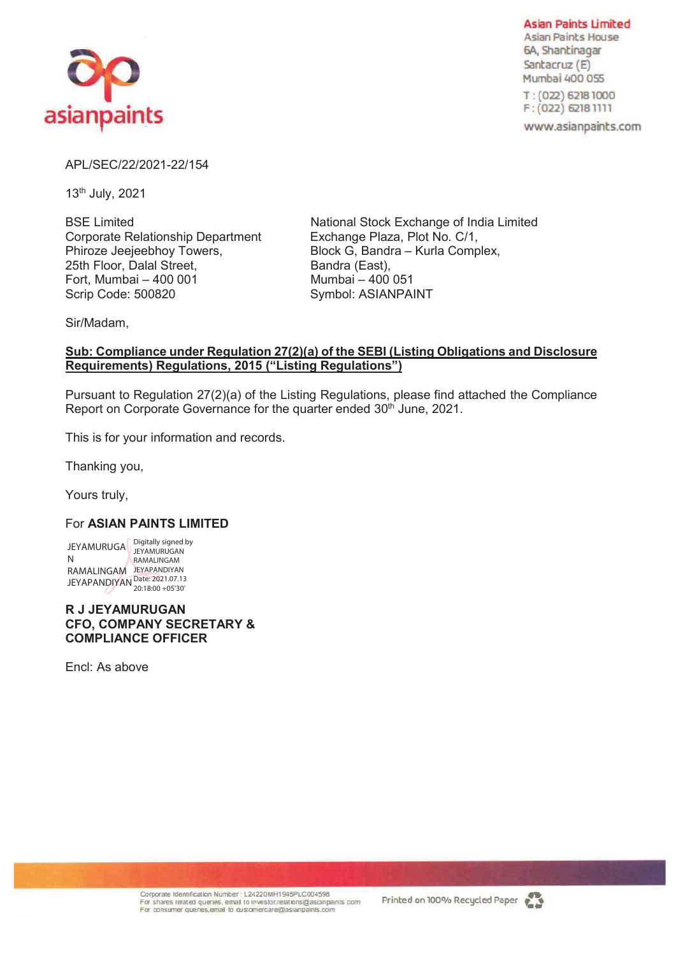

**Asian Paints Limited Asian Paints House** 6A, Shantinagar Santacruz (E) Mumbai 400 055

T: (022) 6218 1000 F: (022) 6218 1111

www.asianpaints.com

## APL/SEC/22/2021-22/154

13th July, 2021

Corporate Relationship Department Exchange Plaza, Plot No. C/1, Phiroze Jeejeebhoy Towers, Block G, Bandra – Kurla Complex, 25th Floor, Dalal Street, Bandra (East), Fort, Mumbai – 400 001 Mumbai – 400 051 Scrip Code: 500820 Symbol: ASIANPAINT

BSE Limited National Stock Exchange of India Limited

Sir/Madam,

## **Sub: Compliance under Regulation 27(2)(a) of the SEBI (Listing Obligations and Disclosure Requirements) Regulations, 2015 ("Listing Regulations")**

Pursuant to Regulation 27(2)(a) of the Listing Regulations, please find attached the Compliance Report on Corporate Governance for the quarter ended 30<sup>th</sup> June, 2021.

This is for your information and records.

Thanking you,

Yours truly,

## For **ASIAN PAINTS LIMITED**

JEYAMURUGA  $\bigcap_{i \in \text{YAMIIR}}$  igitally signed by N RAMALINGAM JEYAPANDIYAN JEYAPANDIYAN Date: 2021.07.13 JEYAMURUGAN RAMALINGAM 20:18:00 +05'30'

**R J JEYAMURUGAN CFO, COMPANY SECRETARY & COMPLIANCE OFFICER** 

Encl: As above



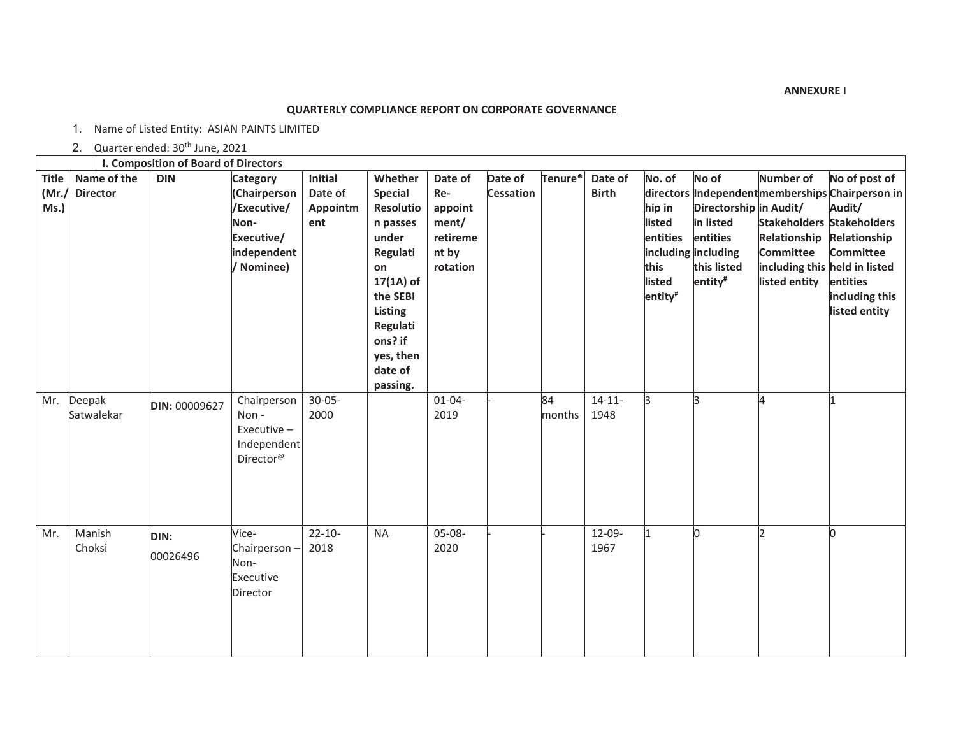**ANNEXURE I**

## **QUARTERLY COMPLIANCE REPORT ON CORPORATE GOVERNANCE**

1. Name of Listed Entity: ASIAN PAINTS LIMITED

2. Quarter ended: 30<sup>th</sup> June, 2021

|                               | I. Composition of Board of Directors |                  |                                                                                                        |                                       |                                                                                                                                                                                |                                                                     |                             |              |                         |                                                                     |                                                                                                                       |                                                                                                                              |                                                                                                                                                                |
|-------------------------------|--------------------------------------|------------------|--------------------------------------------------------------------------------------------------------|---------------------------------------|--------------------------------------------------------------------------------------------------------------------------------------------------------------------------------|---------------------------------------------------------------------|-----------------------------|--------------|-------------------------|---------------------------------------------------------------------|-----------------------------------------------------------------------------------------------------------------------|------------------------------------------------------------------------------------------------------------------------------|----------------------------------------------------------------------------------------------------------------------------------------------------------------|
| <b>Title</b><br>(Mr.)<br>Ms.) | Name of the<br><b>Director</b>       | <b>DIN</b>       | <b>Category</b><br>(Chairperson<br>/Executive/<br>Non-<br>Executive/<br>independent<br>/ Nominee)      | Initial<br>Date of<br>Appointm<br>ent | Whether<br><b>Special</b><br>Resolutio<br>n passes<br>under<br>Regulati<br>on<br>$17(1A)$ of<br>the SEBI<br>Listing<br>Regulati<br>ons? if<br>yes, then<br>date of<br>passing. | Date of<br>Re-<br>appoint<br>ment/<br>retireme<br>nt by<br>rotation | Date of<br><b>Cessation</b> | Tenure*      | Date of<br><b>Birth</b> | No. of<br>hip in<br>listed<br>entities<br>this<br>listed<br>entity# | No of<br>Directorship in Audit/<br>in listed<br>entities<br>including including<br>this listed<br>entity <sup>#</sup> | Number of<br>Stakeholders Stakeholders<br>Relationship<br><b>Committee</b><br>including this held in listed<br>listed entity | No of post of<br>directors Independent memberships Chairperson in<br>Audit/<br>Relationship<br><b>Committee</b><br>entities<br>including this<br>listed entity |
| Mr.                           | Deepak<br>Satwalekar                 | DIN: 00009627    | Chairperson<br>Non-<br>Executive-<br>Independent<br>$\mathsf{Directory}^\text{\textcircled{\tiny{R}}}$ | $30 - 05 -$<br>2000                   |                                                                                                                                                                                | $01 - 04 -$<br>2019                                                 |                             | 84<br>months | $14 - 11 -$<br>1948     | lз.                                                                 | lЗ                                                                                                                    | lл                                                                                                                           | l1                                                                                                                                                             |
| Mr.                           | Manish<br>Choksi                     | DIN:<br>00026496 | Vice-<br>Chairperson-<br>Non-<br>Executive<br>Director                                                 | $22 - 10 -$<br>2018                   | <b>NA</b>                                                                                                                                                                      | 05-08-<br>2020                                                      |                             |              | 12-09-<br>1967          |                                                                     | n.                                                                                                                    | b                                                                                                                            | h                                                                                                                                                              |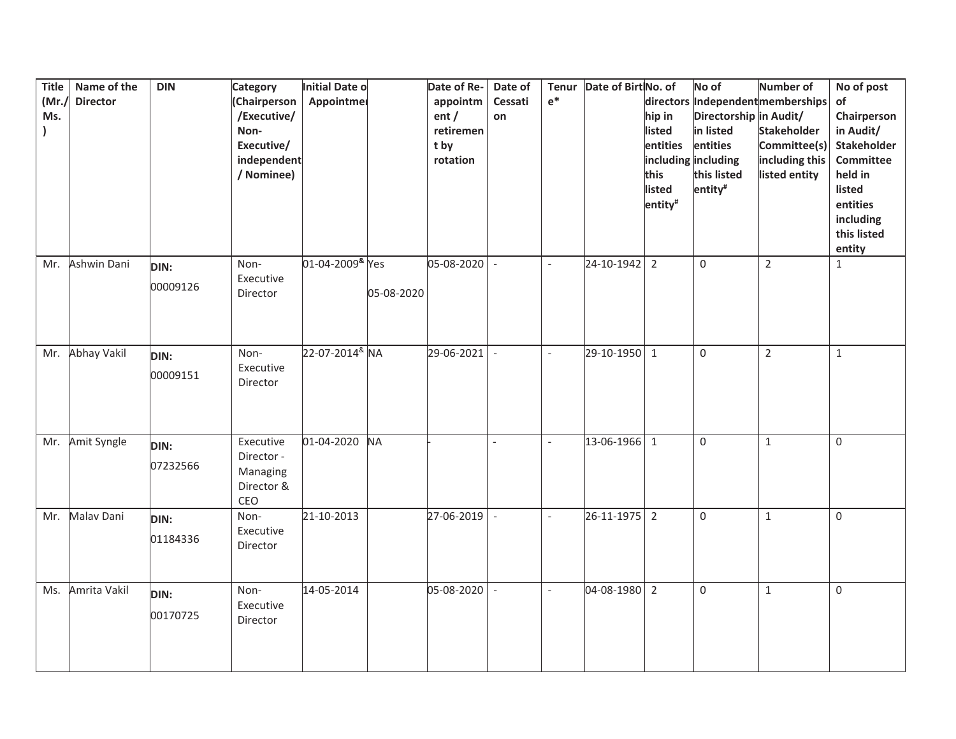| <b>Title</b><br>(Mr.)<br>Ms. | Name of the<br><b>Director</b> | <b>DIN</b>              | <b>Category</b><br>(Chairperson<br>/Executive/<br>Non-<br>Executive/<br>independent<br>/ Nominee) | Initial Date o<br>Appointmer    |            | Date of Re-<br>appointm<br>ent /<br>retiremen<br>t by<br>rotation | Date of<br>Cessati<br>on | Tenur<br>$e^*$           | Date of Birt No. of | hip in<br>listed<br>entities<br>this<br>listed<br>entity <sup>#</sup> | No of<br>Directorship in Audit/<br>in listed<br>entities<br>including including<br>this listed<br>entity <sup>#</sup> | <b>Number of</b><br>directors Independent memberships<br><b>Stakeholder</b><br>Committee(s)<br>including this<br>listed entity | No of post<br>of<br>Chairperson<br>in Audit/<br><b>Stakeholder</b><br>Committee<br>held in<br>listed<br>entities<br>including<br>this listed<br>entity |
|------------------------------|--------------------------------|-------------------------|---------------------------------------------------------------------------------------------------|---------------------------------|------------|-------------------------------------------------------------------|--------------------------|--------------------------|---------------------|-----------------------------------------------------------------------|-----------------------------------------------------------------------------------------------------------------------|--------------------------------------------------------------------------------------------------------------------------------|--------------------------------------------------------------------------------------------------------------------------------------------------------|
| Mr.                          | Ashwin Dani                    | DIN:<br>00009126        | Non-<br>Executive<br>Director                                                                     | 01-04-2009 <sup>&amp;</sup> Yes | 05-08-2020 | 05-08-2020                                                        | $\overline{\phantom{a}}$ | $\overline{\phantom{a}}$ | 24-10-1942          | $\overline{2}$                                                        | $\Omega$                                                                                                              | $\overline{2}$                                                                                                                 | $\mathbf{1}$                                                                                                                                           |
|                              | Mr. Abhay Vakil                | <b>DIN:</b><br>00009151 | Non-<br>Executive<br>Director                                                                     | 22-07-2014 <sup>&amp;</sup> NA  |            | 29-06-2021                                                        |                          | $\overline{\phantom{a}}$ | 29-10-1950          | $\mathbf{1}$                                                          | $\mathbf 0$                                                                                                           | $\overline{2}$                                                                                                                 | $\mathbf{1}$                                                                                                                                           |
| Mr.                          | Amit Syngle                    | DIN:<br>07232566        | Executive<br>Director -<br>Managing<br>Director &<br>CEO                                          | 01-04-2020                      | <b>NA</b>  |                                                                   |                          | $\frac{1}{2}$            | 13-06-1966          | $\mathbf{1}$                                                          | $\Omega$                                                                                                              | $\mathbf{1}$                                                                                                                   | 0                                                                                                                                                      |
| Mr.                          | Malav Dani                     | DIN:<br>01184336        | Non-<br>Executive<br>Director                                                                     | 21-10-2013                      |            | 27-06-2019                                                        |                          | $\overline{a}$           | 26-11-1975          | $\overline{2}$                                                        | 0                                                                                                                     | $\mathbf{1}$                                                                                                                   | 0                                                                                                                                                      |
| Ms.                          | Amrita Vakil                   | DIN:<br>00170725        | Non-<br>Executive<br>Director                                                                     | 14-05-2014                      |            | 05-08-2020                                                        |                          | $\blacksquare$           | 04-08-1980          | $\overline{2}$                                                        | $\mathbf 0$                                                                                                           | $\mathbf{1}$                                                                                                                   | $\mathbf 0$                                                                                                                                            |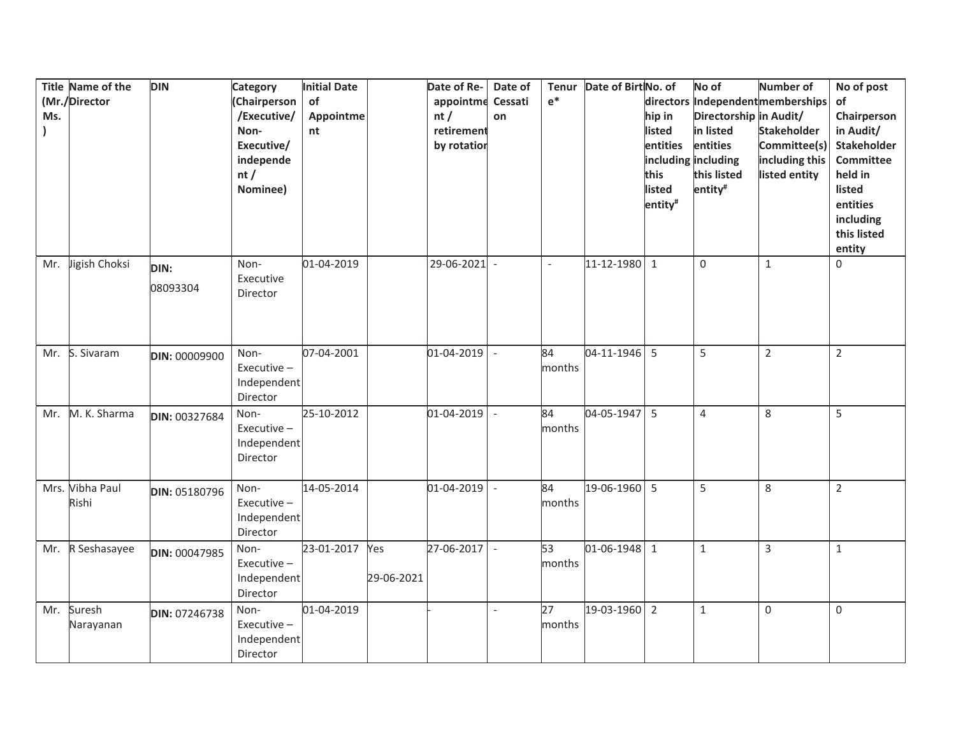| Ms. | Title Name of the<br>(Mr./Director | <b>DIN</b>           | <b>Category</b><br>(Chairperson<br>/Executive/<br>Non-<br>Executive/<br>independe<br>nt/<br>Nominee) | Initial Date<br>of<br>Appointme<br>nt |                   | Date of Re-<br>appointme<br>nt/<br>retirement<br>by rotation | Date of<br>Cessati<br>on | Tenur<br>$e^*$ | Date of Birt No. of | directors<br>hip in<br>listed<br>entities<br>this<br>listed<br>entity <sup>#</sup> | No of<br>Directorship in Audit/<br>in listed<br>entities<br>including including<br>this listed<br>entity <sup>#</sup> | <b>Number of</b><br>Independentmemberships<br><b>Stakeholder</b><br>Committee(s)<br>including this<br>listed entity | No of post<br>of<br>Chairperson<br>in Audit/<br><b>Stakeholder</b><br>Committee<br>held in<br>listed<br>entities<br>including<br>this listed<br>entity |
|-----|------------------------------------|----------------------|------------------------------------------------------------------------------------------------------|---------------------------------------|-------------------|--------------------------------------------------------------|--------------------------|----------------|---------------------|------------------------------------------------------------------------------------|-----------------------------------------------------------------------------------------------------------------------|---------------------------------------------------------------------------------------------------------------------|--------------------------------------------------------------------------------------------------------------------------------------------------------|
| Mr. | Jigish Choksi                      | DIN:<br>08093304     | Non-<br>Executive<br>Director                                                                        | 01-04-2019                            |                   | 29-06-2021                                                   | $\overline{a}$           | $\overline{a}$ | 11-12-1980          | $\mathbf{1}$                                                                       | $\Omega$                                                                                                              | $\mathbf{1}$                                                                                                        | 0                                                                                                                                                      |
| Mr. | S. Sivaram                         | <b>DIN: 00009900</b> | Non-<br>Executive-<br>Independent<br>Director                                                        | 07-04-2001                            |                   | 01-04-2019                                                   |                          | 84<br>months   | 04-11-1946          | 5                                                                                  | 5                                                                                                                     | $\overline{2}$                                                                                                      | $\overline{2}$                                                                                                                                         |
| Mr. | M. K. Sharma                       | DIN: 00327684        | Non-<br>Executive-<br>Independent<br>Director                                                        | 25-10-2012                            |                   | 01-04-2019                                                   |                          | 84<br>months   | 04-05-1947          | 5                                                                                  | 4                                                                                                                     | 8                                                                                                                   | 5                                                                                                                                                      |
|     | Mrs. Vibha Paul<br>Rishi           | DIN: 05180796        | Non-<br>Executive-<br>Independent<br>Director                                                        | 14-05-2014                            |                   | 01-04-2019                                                   | $\overline{a}$           | 84<br>months   | 19-06-1960          | 5                                                                                  | 5                                                                                                                     | 8                                                                                                                   | $\overline{2}$                                                                                                                                         |
| Mr. | R Seshasayee                       | DIN: 00047985        | Non-<br>Executive $-$<br>Independent<br>Director                                                     | 23-01-2017                            | Yes<br>29-06-2021 | 27-06-2017                                                   | $\bar{\phantom{a}}$      | 53<br>months   | 01-06-1948          | $\mathbf{1}$                                                                       | $\mathbf{1}$                                                                                                          | 3                                                                                                                   | $\mathbf{1}$                                                                                                                                           |
| Mr. | Suresh<br>Narayanan                | DIN: 07246738        | Non-<br>Executive-<br>Independent<br>Director                                                        | 01-04-2019                            |                   |                                                              | $\overline{a}$           | 27<br>months   | 19-03-1960          | $\overline{2}$                                                                     | $\mathbf{1}$                                                                                                          | $\mathbf 0$                                                                                                         | 0                                                                                                                                                      |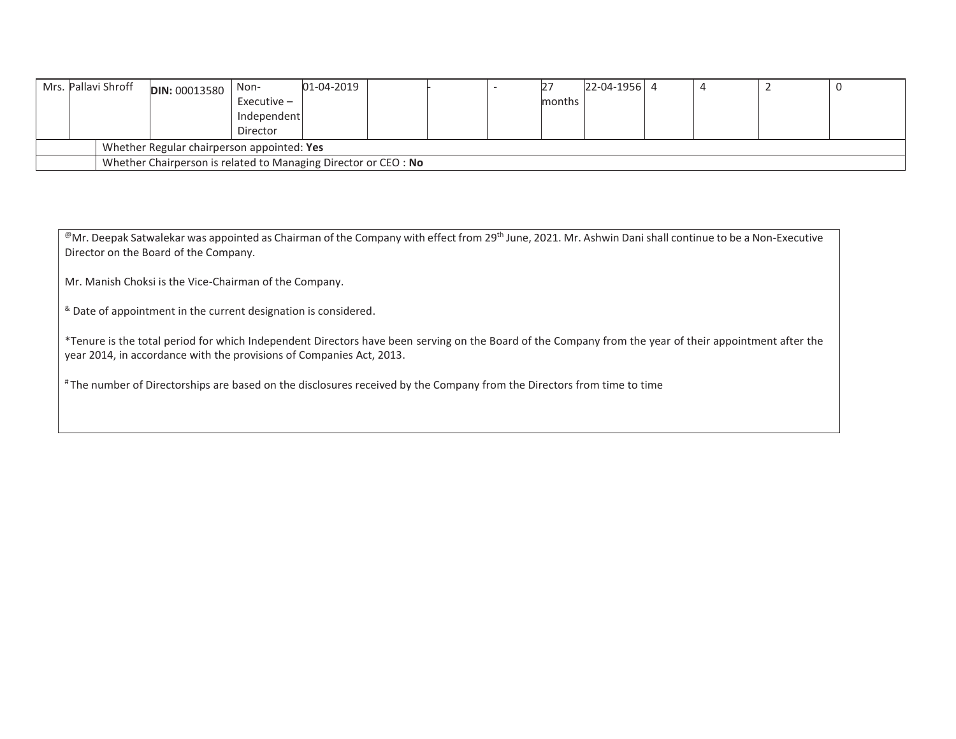| Mrs. Pallavi Shroff | <b>DIN: 00013580</b>                                           | Non-        | 01-04-2019 |  |  |  |        | 22-04-1956 4 |  |  |  |
|---------------------|----------------------------------------------------------------|-------------|------------|--|--|--|--------|--------------|--|--|--|
|                     |                                                                | Executive – |            |  |  |  | months |              |  |  |  |
|                     |                                                                | Independent |            |  |  |  |        |              |  |  |  |
|                     |                                                                | Director    |            |  |  |  |        |              |  |  |  |
|                     | Whether Regular chairperson appointed: Yes                     |             |            |  |  |  |        |              |  |  |  |
|                     | Whether Chairperson is related to Managing Director or CEO: No |             |            |  |  |  |        |              |  |  |  |

@Mr. Deepak Satwalekar was appointed as Chairman of the Company with effect from 29<sup>th</sup> June, 2021. Mr. Ashwin Dani shall continue to be a Non-Executive Director on the Board of the Company.

Mr. Manish Choksi is the Vice-Chairman of the Company.

& Date of appointment in the current designation is considered.

\*Tenure is the total period for which Independent Directors have been serving on the Board of the Company from the year of their appointment after the year 2014, in accordance with the provisions of Companies Act, 2013.

# The number of Directorships are based on the disclosures received by the Company from the Directors from time to time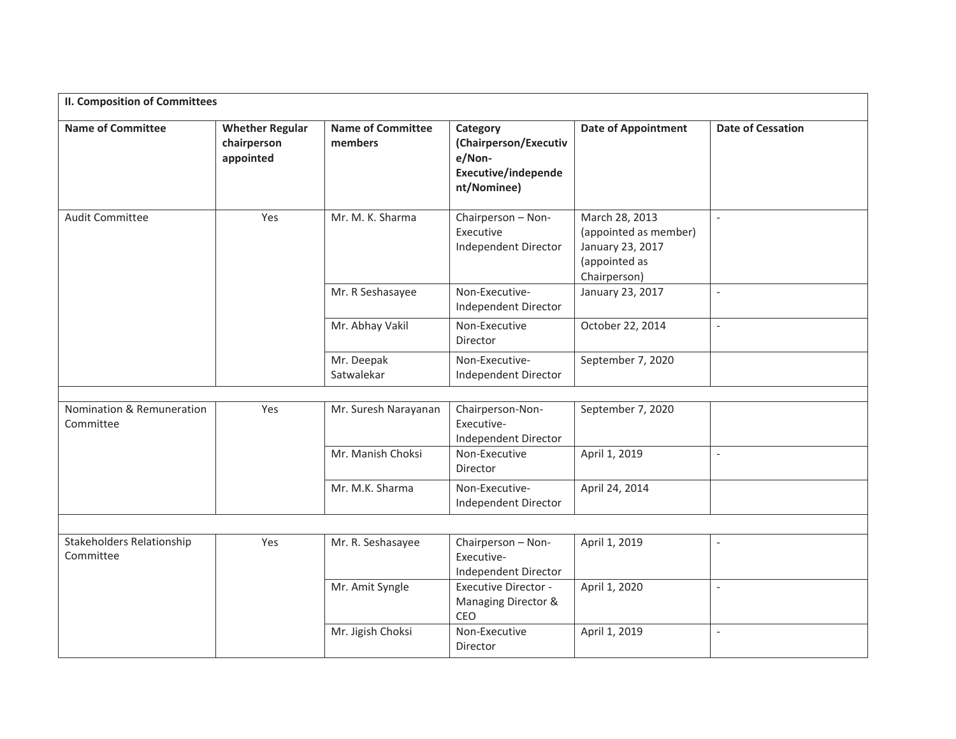| <b>II. Composition of Committees</b>   |                                                    |                                     |                                                                                          |                                                                                              |                          |
|----------------------------------------|----------------------------------------------------|-------------------------------------|------------------------------------------------------------------------------------------|----------------------------------------------------------------------------------------------|--------------------------|
| <b>Name of Committee</b>               | <b>Whether Regular</b><br>chairperson<br>appointed | <b>Name of Committee</b><br>members | Category<br>(Chairperson/Executiv<br>e/Non-<br><b>Executive/independe</b><br>nt/Nominee) | <b>Date of Appointment</b>                                                                   | <b>Date of Cessation</b> |
| Audit Committee                        | Yes                                                | Mr. M. K. Sharma                    | Chairperson - Non-<br>Executive<br>Independent Director                                  | March 28, 2013<br>(appointed as member)<br>January 23, 2017<br>(appointed as<br>Chairperson) | $\overline{\phantom{a}}$ |
|                                        |                                                    | Mr. R Seshasayee                    | Non-Executive-<br>Independent Director                                                   | January 23, 2017                                                                             | $\overline{a}$           |
|                                        |                                                    | Mr. Abhay Vakil                     | Non-Executive<br><b>Director</b>                                                         | October 22, 2014                                                                             | $\overline{a}$           |
|                                        |                                                    | Mr. Deepak<br>Satwalekar            | Non-Executive-<br>Independent Director                                                   | September 7, 2020                                                                            |                          |
|                                        |                                                    |                                     |                                                                                          |                                                                                              |                          |
| Nomination & Remuneration<br>Committee | Yes                                                | Mr. Suresh Narayanan                | Chairperson-Non-<br>Executive-<br>Independent Director                                   | September 7, 2020                                                                            |                          |
|                                        |                                                    | Mr. Manish Choksi                   | Non-Executive<br>Director                                                                | April 1, 2019                                                                                | $\overline{a}$           |
|                                        |                                                    | Mr. M.K. Sharma                     | Non-Executive-<br>Independent Director                                                   | April 24, 2014                                                                               |                          |
|                                        |                                                    |                                     |                                                                                          |                                                                                              |                          |
| Stakeholders Relationship<br>Committee | Yes                                                | Mr. R. Seshasayee                   | April 1, 2019<br>Chairperson - Non-<br>Executive-<br>Independent Director                |                                                                                              |                          |
|                                        |                                                    | Mr. Amit Syngle                     | <b>Executive Director -</b><br>Managing Director &<br>CEO                                | April 1, 2020                                                                                | $\equiv$                 |
|                                        |                                                    | Mr. Jigish Choksi                   | Non-Executive<br>Director                                                                | April 1, 2019                                                                                | $\overline{a}$           |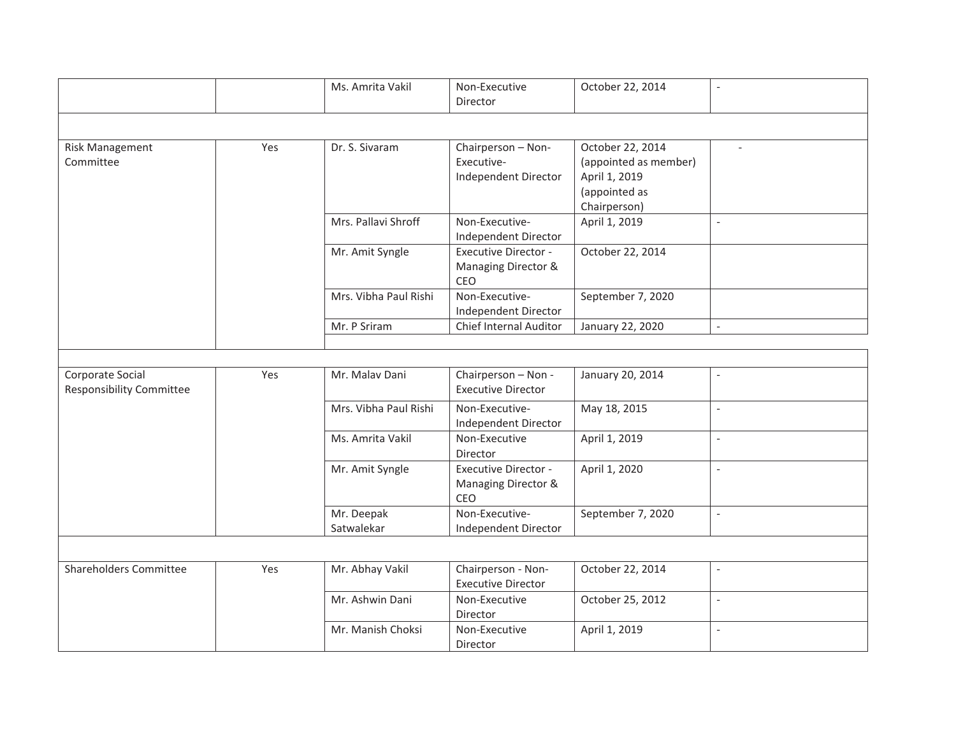|                                                     |     | Ms. Amrita Vakil         | Non-Executive<br>Director                                 | October 22, 2014                                                                            |                          |
|-----------------------------------------------------|-----|--------------------------|-----------------------------------------------------------|---------------------------------------------------------------------------------------------|--------------------------|
|                                                     |     |                          |                                                           |                                                                                             |                          |
| <b>Risk Management</b><br>Committee                 | Yes | Dr. S. Sivaram           | Chairperson - Non-<br>Executive-<br>Independent Director  | October 22, 2014<br>(appointed as member)<br>April 1, 2019<br>(appointed as<br>Chairperson) |                          |
|                                                     |     | Mrs. Pallavi Shroff      | Non-Executive-<br>Independent Director                    | April 1, 2019                                                                               |                          |
|                                                     |     | Mr. Amit Syngle          | <b>Executive Director -</b><br>Managing Director &<br>CEO | October 22, 2014                                                                            |                          |
|                                                     |     | Mrs. Vibha Paul Rishi    | Non-Executive-<br>Independent Director                    | September 7, 2020                                                                           |                          |
|                                                     |     | Mr. P Sriram             | Chief Internal Auditor                                    | January 22, 2020                                                                            | $\overline{\phantom{a}}$ |
|                                                     |     |                          |                                                           |                                                                                             |                          |
| Corporate Social<br><b>Responsibility Committee</b> | Yes | Mr. Malav Dani           | Chairperson - Non -<br><b>Executive Director</b>          | January 20, 2014                                                                            |                          |
|                                                     |     | Mrs. Vibha Paul Rishi    | Non-Executive-<br>Independent Director                    | May 18, 2015                                                                                |                          |
|                                                     |     | Ms. Amrita Vakil         | Non-Executive<br>Director                                 | April 1, 2019                                                                               | $\overline{a}$           |
|                                                     |     | Mr. Amit Syngle          | <b>Executive Director -</b><br>Managing Director &<br>CEO | April 1, 2020                                                                               |                          |
|                                                     |     | Mr. Deepak<br>Satwalekar | Non-Executive-<br>Independent Director                    | September 7, 2020                                                                           |                          |
|                                                     |     |                          |                                                           |                                                                                             |                          |
| Shareholders Committee                              | Yes | Mr. Abhay Vakil          | Chairperson - Non-<br><b>Executive Director</b>           | October 22, 2014                                                                            |                          |
|                                                     |     | Mr. Ashwin Dani          | Non-Executive<br>Director                                 | October 25, 2012                                                                            |                          |
|                                                     |     | Mr. Manish Choksi        | Non-Executive<br>Director                                 | April 1, 2019                                                                               | $\overline{\phantom{a}}$ |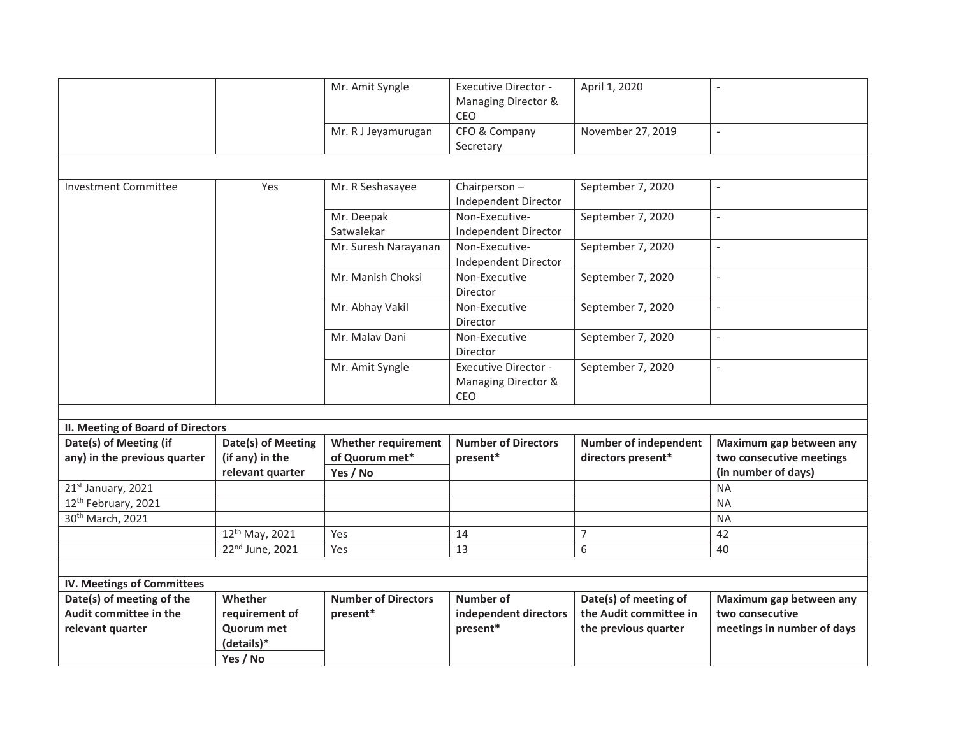|                                                        |                                       | Mr. Amit Syngle                              | Executive Director -<br>Managing Director &<br>CEO        | April 1, 2020                                      |                                                     |
|--------------------------------------------------------|---------------------------------------|----------------------------------------------|-----------------------------------------------------------|----------------------------------------------------|-----------------------------------------------------|
|                                                        |                                       | Mr. R J Jeyamurugan                          | CFO & Company<br>Secretary                                | November 27, 2019                                  |                                                     |
|                                                        |                                       |                                              |                                                           |                                                    |                                                     |
| <b>Investment Committee</b>                            | Yes                                   | Mr. R Seshasayee                             | Chairperson-<br>Independent Director                      | September 7, 2020                                  |                                                     |
|                                                        |                                       | Mr. Deepak<br>Satwalekar                     | Non-Executive-<br>Independent Director                    | September 7, 2020                                  | $\overline{a}$                                      |
|                                                        |                                       | Mr. Suresh Narayanan                         | Non-Executive-<br>Independent Director                    | September 7, 2020                                  | $\frac{1}{2}$                                       |
|                                                        |                                       | Mr. Manish Choksi                            | Non-Executive<br>Director                                 | September 7, 2020                                  | $\overline{a}$                                      |
|                                                        |                                       | Mr. Abhay Vakil                              | Non-Executive<br>Director                                 | September 7, 2020                                  | $\frac{1}{2}$                                       |
|                                                        |                                       | Mr. Malay Dani                               | Non-Executive<br>Director                                 | September 7, 2020                                  |                                                     |
|                                                        |                                       | Mr. Amit Syngle                              | <b>Executive Director -</b><br>Managing Director &<br>CEO | September 7, 2020                                  |                                                     |
|                                                        |                                       |                                              |                                                           |                                                    |                                                     |
| II. Meeting of Board of Directors                      |                                       |                                              |                                                           |                                                    |                                                     |
| Date(s) of Meeting (if<br>any) in the previous quarter | Date(s) of Meeting<br>(if any) in the | <b>Whether requirement</b><br>of Quorum met* | <b>Number of Directors</b>                                | <b>Number of independent</b><br>directors present* | Maximum gap between any<br>two consecutive meetings |
|                                                        | relevant quarter                      | Yes / No                                     | present*                                                  |                                                    | (in number of days)                                 |
| 21st January, 2021                                     |                                       |                                              |                                                           |                                                    | <b>NA</b>                                           |
| 12th February, 2021                                    |                                       |                                              |                                                           |                                                    | <b>NA</b>                                           |
| 30 <sup>th</sup> March, 2021                           |                                       |                                              |                                                           |                                                    | <b>NA</b>                                           |
|                                                        | 12th May, 2021                        | Yes                                          | 14                                                        | $\overline{7}$                                     | 42                                                  |
|                                                        | 22 <sup>nd</sup> June, 2021           | Yes                                          | 13                                                        | 6                                                  | 40                                                  |
|                                                        |                                       |                                              |                                                           |                                                    |                                                     |
| IV. Meetings of Committees                             |                                       |                                              |                                                           |                                                    |                                                     |
| Date(s) of meeting of the                              | Whether                               | <b>Number of Directors</b>                   | <b>Number of</b>                                          | Date(s) of meeting of                              | Maximum gap between any                             |
| Audit committee in the                                 | requirement of                        | present*                                     | independent directors                                     | the Audit committee in                             | two consecutive                                     |
| relevant quarter                                       | <b>Quorum met</b>                     |                                              | present*                                                  | the previous quarter                               | meetings in number of days                          |
|                                                        | (details)*                            |                                              |                                                           |                                                    |                                                     |
|                                                        | Yes / No                              |                                              |                                                           |                                                    |                                                     |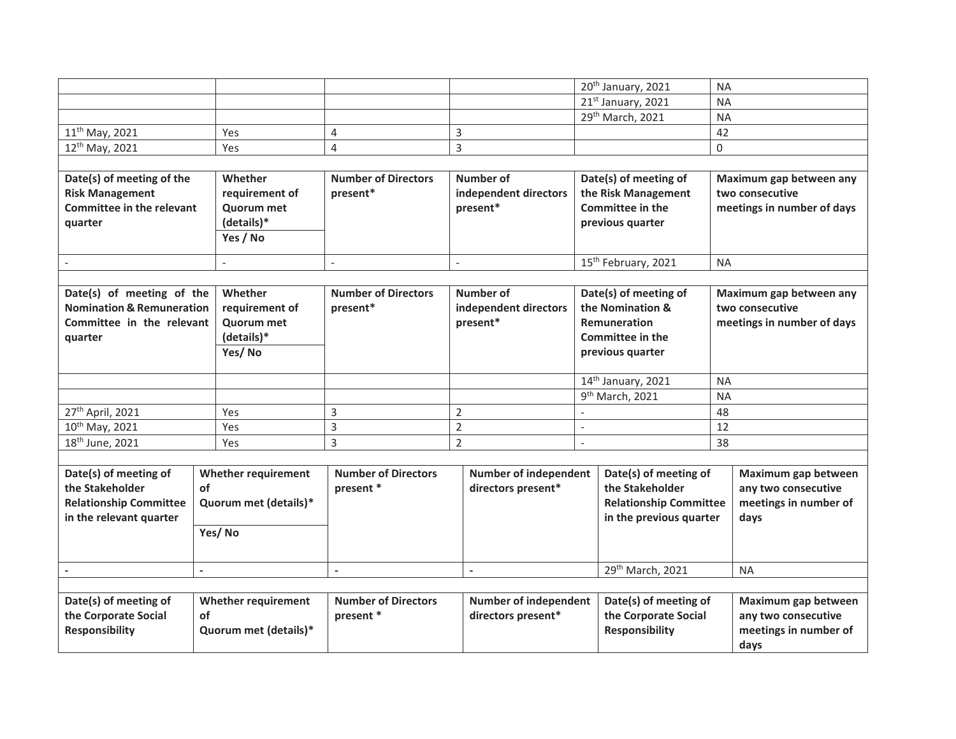|                                      |                            |                            |                              |                          | 20th January, 2021              | <b>NA</b>                  |  |
|--------------------------------------|----------------------------|----------------------------|------------------------------|--------------------------|---------------------------------|----------------------------|--|
|                                      |                            |                            |                              |                          | 21st January, 2021              | <b>NA</b>                  |  |
|                                      |                            |                            |                              |                          | 29th March, 2021                | <b>NA</b>                  |  |
| 11 <sup>th</sup> May, 2021           | Yes                        | $\overline{4}$             | 3                            |                          |                                 | 42                         |  |
| 12 <sup>th</sup> May, 2021           | Yes                        | $\overline{4}$             | 3                            |                          |                                 | 0                          |  |
|                                      |                            |                            |                              |                          |                                 |                            |  |
| Date(s) of meeting of the            | Whether                    | <b>Number of Directors</b> | Number of                    |                          | Date(s) of meeting of           | Maximum gap between any    |  |
| <b>Risk Management</b>               | requirement of             | present*                   | independent directors        |                          | the Risk Management             | two consecutive            |  |
| <b>Committee in the relevant</b>     | <b>Quorum met</b>          |                            | present*                     |                          | <b>Committee in the</b>         | meetings in number of days |  |
| quarter                              | (details)*                 |                            |                              |                          | previous quarter                |                            |  |
|                                      | Yes / No                   |                            |                              |                          |                                 |                            |  |
| $\overline{\phantom{a}}$             |                            | $\sim$                     | $\sim$                       |                          | 15 <sup>th</sup> February, 2021 | <b>NA</b>                  |  |
|                                      |                            |                            |                              |                          |                                 |                            |  |
| Date(s) of meeting of the            | Whether                    | <b>Number of Directors</b> | Number of                    |                          | Date(s) of meeting of           | Maximum gap between any    |  |
| <b>Nomination &amp; Remuneration</b> | requirement of             | present*                   | independent directors        |                          | the Nomination &                | two consecutive            |  |
| Committee in the relevant            | <b>Quorum met</b>          |                            | present*                     |                          | <b>Remuneration</b>             | meetings in number of days |  |
| quarter                              | (details)*                 |                            |                              |                          | <b>Committee in the</b>         |                            |  |
|                                      | Yes/No                     |                            |                              |                          | previous quarter                |                            |  |
|                                      |                            |                            |                              |                          | 14th January, 2021              | <b>NA</b>                  |  |
|                                      |                            |                            |                              |                          | 9 <sup>th</sup> March, 2021     | <b>NA</b>                  |  |
| 27 <sup>th</sup> April, 2021         | Yes                        | 3                          | $\overline{2}$               |                          |                                 | 48                         |  |
| 10th May, 2021                       | Yes                        | 3                          | $\overline{2}$               | $\overline{\phantom{a}}$ |                                 | 12                         |  |
| 18 <sup>th</sup> June, 2021          | Yes                        | 3                          | $\overline{2}$               | $\overline{\phantom{a}}$ |                                 | 38                         |  |
|                                      |                            |                            |                              |                          |                                 |                            |  |
| Date(s) of meeting of                | <b>Whether requirement</b> | <b>Number of Directors</b> | <b>Number of independent</b> |                          | Date(s) of meeting of           | Maximum gap between        |  |
| the Stakeholder                      | <b>of</b>                  | present *                  | directors present*           |                          | the Stakeholder                 | any two consecutive        |  |
| <b>Relationship Committee</b>        | Quorum met (details)*      |                            |                              |                          | <b>Relationship Committee</b>   | meetings in number of      |  |
| in the relevant quarter              |                            |                            |                              |                          | in the previous quarter         | days                       |  |
|                                      | Yes/No                     |                            |                              |                          |                                 |                            |  |
|                                      |                            |                            |                              |                          |                                 |                            |  |
|                                      | $\overline{a}$             | $\overline{\phantom{a}}$   | $\blacksquare$               |                          | 29th March, 2021                | <b>NA</b>                  |  |
|                                      |                            |                            |                              |                          |                                 |                            |  |
| Date(s) of meeting of                | <b>Whether requirement</b> | <b>Number of Directors</b> | <b>Number of independent</b> |                          | Date(s) of meeting of           | Maximum gap between        |  |
| the Corporate Social                 | of                         | present *                  | directors present*           |                          | the Corporate Social            | any two consecutive        |  |
| <b>Responsibility</b>                | Quorum met (details)*      |                            |                              |                          | <b>Responsibility</b>           | meetings in number of      |  |
|                                      |                            |                            |                              |                          |                                 | days                       |  |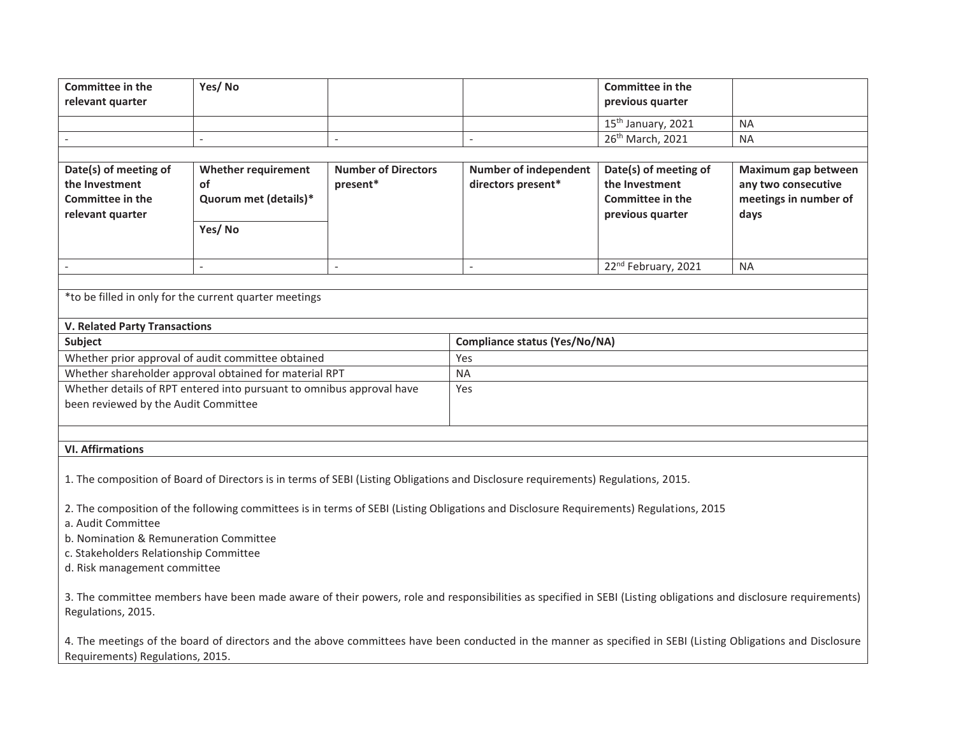|                                                                                                                                                                                                                       |                                                                                                                                                   |                                                                                                                                                                           | previous quarter                                   |                                                                                                                                                                                                                                                                                                                                                                                                          |  |  |  |  |  |
|-----------------------------------------------------------------------------------------------------------------------------------------------------------------------------------------------------------------------|---------------------------------------------------------------------------------------------------------------------------------------------------|---------------------------------------------------------------------------------------------------------------------------------------------------------------------------|----------------------------------------------------|----------------------------------------------------------------------------------------------------------------------------------------------------------------------------------------------------------------------------------------------------------------------------------------------------------------------------------------------------------------------------------------------------------|--|--|--|--|--|
|                                                                                                                                                                                                                       |                                                                                                                                                   |                                                                                                                                                                           | 15 <sup>th</sup> January, 2021                     | <b>NA</b>                                                                                                                                                                                                                                                                                                                                                                                                |  |  |  |  |  |
|                                                                                                                                                                                                                       | $\overline{a}$                                                                                                                                    | $\overline{a}$                                                                                                                                                            | 26th March, 2021                                   | <b>NA</b>                                                                                                                                                                                                                                                                                                                                                                                                |  |  |  |  |  |
|                                                                                                                                                                                                                       |                                                                                                                                                   |                                                                                                                                                                           |                                                    |                                                                                                                                                                                                                                                                                                                                                                                                          |  |  |  |  |  |
| <b>Whether requirement</b>                                                                                                                                                                                            |                                                                                                                                                   |                                                                                                                                                                           |                                                    | Maximum gap between                                                                                                                                                                                                                                                                                                                                                                                      |  |  |  |  |  |
|                                                                                                                                                                                                                       |                                                                                                                                                   |                                                                                                                                                                           |                                                    | any two consecutive<br>meetings in number of                                                                                                                                                                                                                                                                                                                                                             |  |  |  |  |  |
|                                                                                                                                                                                                                       |                                                                                                                                                   |                                                                                                                                                                           |                                                    | days                                                                                                                                                                                                                                                                                                                                                                                                     |  |  |  |  |  |
| Yes/No                                                                                                                                                                                                                |                                                                                                                                                   |                                                                                                                                                                           |                                                    |                                                                                                                                                                                                                                                                                                                                                                                                          |  |  |  |  |  |
|                                                                                                                                                                                                                       |                                                                                                                                                   |                                                                                                                                                                           |                                                    |                                                                                                                                                                                                                                                                                                                                                                                                          |  |  |  |  |  |
|                                                                                                                                                                                                                       | $\mathcal{L}$                                                                                                                                     | $\overline{a}$                                                                                                                                                            |                                                    | <b>NA</b>                                                                                                                                                                                                                                                                                                                                                                                                |  |  |  |  |  |
| $\mathbf{r}$                                                                                                                                                                                                          |                                                                                                                                                   |                                                                                                                                                                           |                                                    |                                                                                                                                                                                                                                                                                                                                                                                                          |  |  |  |  |  |
| *to be filled in only for the current quarter meetings                                                                                                                                                                |                                                                                                                                                   |                                                                                                                                                                           |                                                    |                                                                                                                                                                                                                                                                                                                                                                                                          |  |  |  |  |  |
| <b>V. Related Party Transactions</b>                                                                                                                                                                                  |                                                                                                                                                   |                                                                                                                                                                           |                                                    |                                                                                                                                                                                                                                                                                                                                                                                                          |  |  |  |  |  |
| Subject<br>Compliance status (Yes/No/NA)                                                                                                                                                                              |                                                                                                                                                   |                                                                                                                                                                           |                                                    |                                                                                                                                                                                                                                                                                                                                                                                                          |  |  |  |  |  |
| Whether prior approval of audit committee obtained                                                                                                                                                                    |                                                                                                                                                   | Yes                                                                                                                                                                       |                                                    |                                                                                                                                                                                                                                                                                                                                                                                                          |  |  |  |  |  |
|                                                                                                                                                                                                                       |                                                                                                                                                   | <b>NA</b>                                                                                                                                                                 |                                                    |                                                                                                                                                                                                                                                                                                                                                                                                          |  |  |  |  |  |
|                                                                                                                                                                                                                       |                                                                                                                                                   | <b>Yes</b>                                                                                                                                                                |                                                    |                                                                                                                                                                                                                                                                                                                                                                                                          |  |  |  |  |  |
|                                                                                                                                                                                                                       |                                                                                                                                                   |                                                                                                                                                                           |                                                    |                                                                                                                                                                                                                                                                                                                                                                                                          |  |  |  |  |  |
|                                                                                                                                                                                                                       |                                                                                                                                                   |                                                                                                                                                                           |                                                    |                                                                                                                                                                                                                                                                                                                                                                                                          |  |  |  |  |  |
|                                                                                                                                                                                                                       |                                                                                                                                                   |                                                                                                                                                                           |                                                    |                                                                                                                                                                                                                                                                                                                                                                                                          |  |  |  |  |  |
|                                                                                                                                                                                                                       |                                                                                                                                                   |                                                                                                                                                                           |                                                    |                                                                                                                                                                                                                                                                                                                                                                                                          |  |  |  |  |  |
|                                                                                                                                                                                                                       |                                                                                                                                                   |                                                                                                                                                                           |                                                    |                                                                                                                                                                                                                                                                                                                                                                                                          |  |  |  |  |  |
|                                                                                                                                                                                                                       |                                                                                                                                                   |                                                                                                                                                                           |                                                    |                                                                                                                                                                                                                                                                                                                                                                                                          |  |  |  |  |  |
|                                                                                                                                                                                                                       |                                                                                                                                                   |                                                                                                                                                                           |                                                    |                                                                                                                                                                                                                                                                                                                                                                                                          |  |  |  |  |  |
|                                                                                                                                                                                                                       |                                                                                                                                                   |                                                                                                                                                                           |                                                    |                                                                                                                                                                                                                                                                                                                                                                                                          |  |  |  |  |  |
|                                                                                                                                                                                                                       |                                                                                                                                                   |                                                                                                                                                                           |                                                    |                                                                                                                                                                                                                                                                                                                                                                                                          |  |  |  |  |  |
|                                                                                                                                                                                                                       |                                                                                                                                                   |                                                                                                                                                                           |                                                    |                                                                                                                                                                                                                                                                                                                                                                                                          |  |  |  |  |  |
|                                                                                                                                                                                                                       |                                                                                                                                                   |                                                                                                                                                                           |                                                    |                                                                                                                                                                                                                                                                                                                                                                                                          |  |  |  |  |  |
| d. Risk management committee<br>3. The committee members have been made aware of their powers, role and responsibilities as specified in SEBI (Listing obligations and disclosure requirements)<br>Regulations, 2015. |                                                                                                                                                   |                                                                                                                                                                           |                                                    |                                                                                                                                                                                                                                                                                                                                                                                                          |  |  |  |  |  |
|                                                                                                                                                                                                                       | Quorum met (details)*<br>been reviewed by the Audit Committee<br>b. Nomination & Remuneration Committee<br>c. Stakeholders Relationship Committee | <b>Number of Directors</b><br>present*<br>Whether shareholder approval obtained for material RPT<br>Whether details of RPT entered into pursuant to omnibus approval have | <b>Number of independent</b><br>directors present* | Date(s) of meeting of<br>the Investment<br><b>Committee in the</b><br>previous quarter<br>22 <sup>nd</sup> February, 2021<br>1. The composition of Board of Directors is in terms of SEBI (Listing Obligations and Disclosure requirements) Regulations, 2015.<br>2. The composition of the following committees is in terms of SEBI (Listing Obligations and Disclosure Requirements) Regulations, 2015 |  |  |  |  |  |

4. The meetings of the board of directors and the above committees have been conducted in the manner as specified in SEBI (Listing Obligations and Disclosure Requirements) Regulations, 2015.